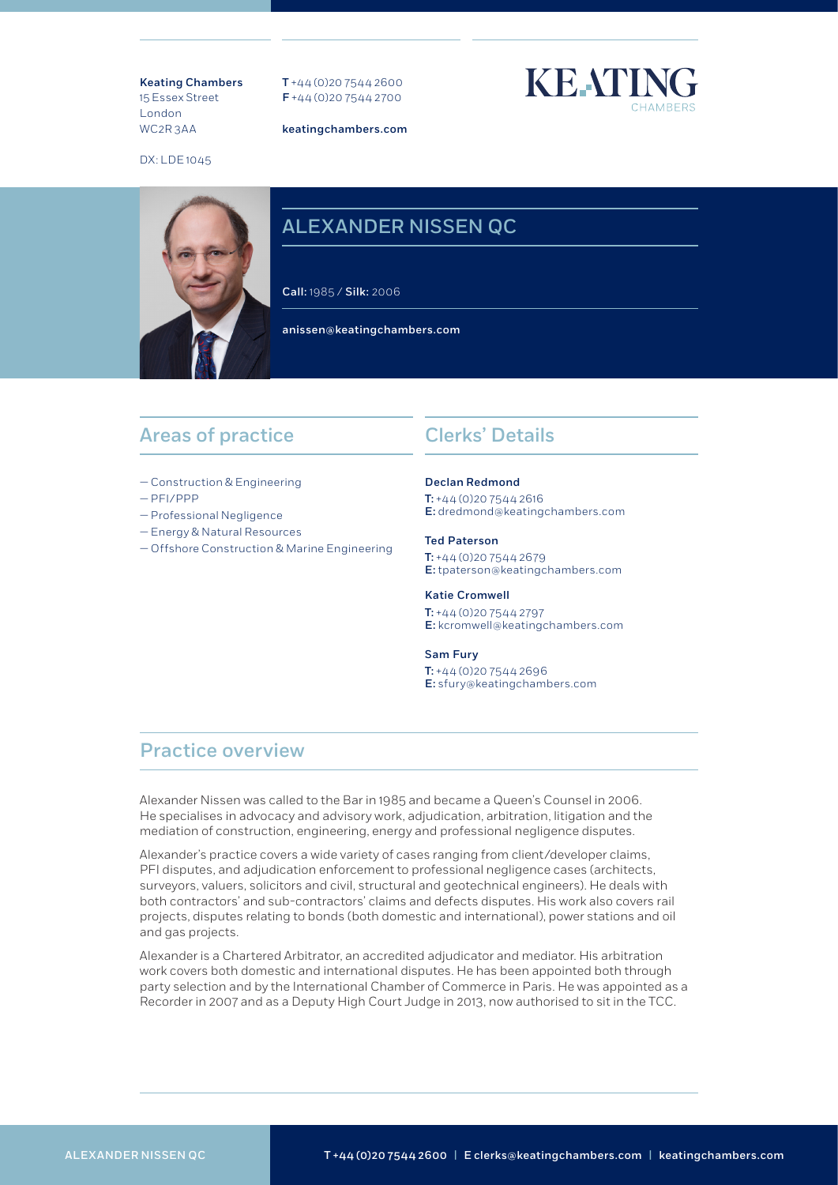Keating Chambers 15 Essex Street London WC2R 3AA

T +44 (0)20 7544 2600 F +44 (0)20 7544 2700

keatingchambers.com



DX: LDE 1045

# ALEXANDER NISSEN QC

Call: 1985 / Silk: 2006

anissen@keatingchambers.com

## Areas of practice

- Construction & Engineering
- PFI/PPP
- Professional Negligence
- Energy & Natural Resources
- Offshore Construction & Marine Engineering

## Clerks' Details

#### Declan Redmond

 $T: +44 (0)20 7544 2616$ E: dredmond@keatingchambers.com

#### Ted Paterson

 $T: +44(0)2075442679$ E: tpaterson@keatingchambers.com

### Katie Cromwell T: +44 (0)20 7544 2797

E: kcromwell@keatingchambers.com

### Sam Fury

T: +44 (0)20 7544 2696 E: sfury@keatingchambers.com

## Practice overview

Alexander Nissen was called to the Bar in 1985 and became a Queen's Counsel in 2006. He specialises in advocacy and advisory work, adjudication, arbitration, litigation and the mediation of construction, engineering, energy and professional negligence disputes.

Alexander's practice covers a wide variety of cases ranging from client/developer claims, PFI disputes, and adjudication enforcement to professional negligence cases (architects, surveyors, valuers, solicitors and civil, structural and geotechnical engineers). He deals with both contractors' and sub-contractors' claims and defects disputes. His work also covers rail projects, disputes relating to bonds (both domestic and international), power stations and oil and gas projects.

Alexander is a Chartered Arbitrator, an accredited adjudicator and mediator. His arbitration work covers both domestic and international disputes. He has been appointed both through party selection and by the International Chamber of Commerce in Paris. He was appointed as a Recorder in 2007 and as a Deputy High Court Judge in 2013, now authorised to sit in the TCC.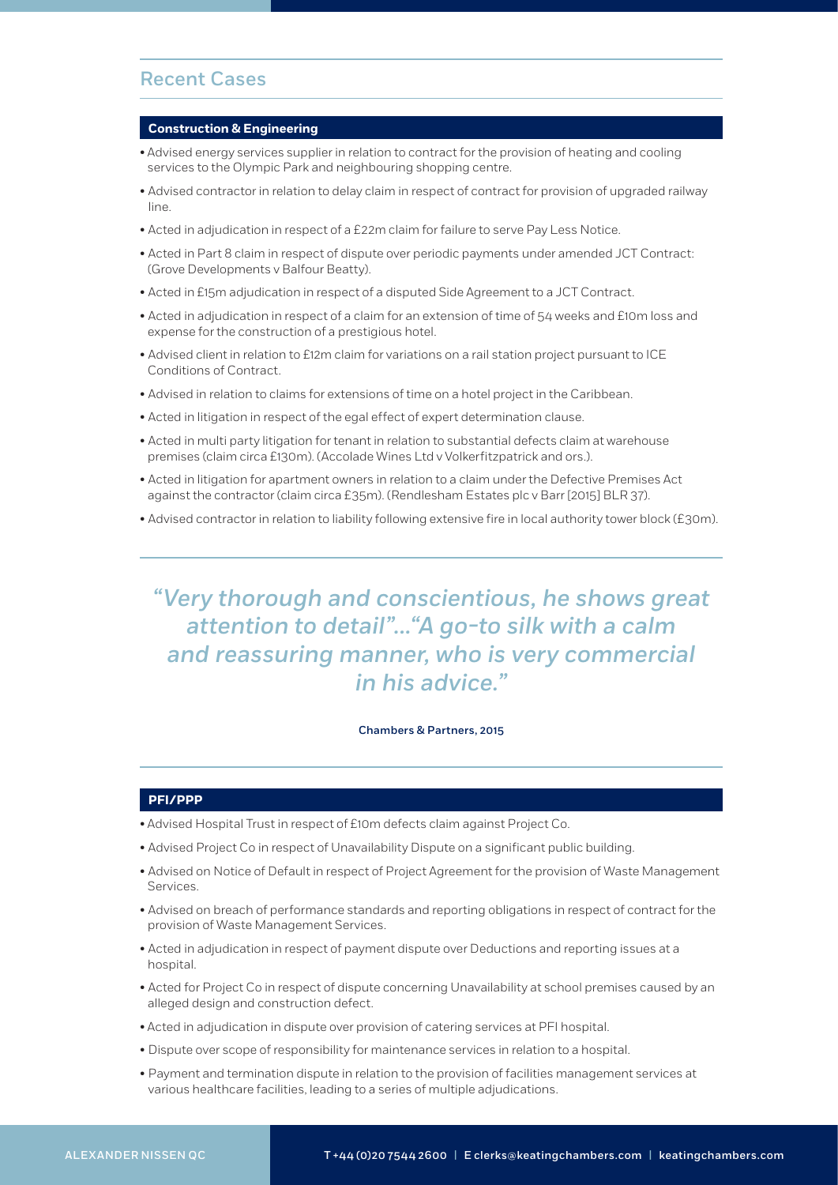## Recent Cases

#### **Construction & Engineering**

- Advised energy services supplier in relation to contract for the provision of heating and cooling services to the Olympic Park and neighbouring shopping centre.
- Advised contractor in relation to delay claim in respect of contract for provision of upgraded railway line.
- Acted in adjudication in respect of a £22m claim for failure to serve Pay Less Notice.
- Acted in Part 8 claim in respect of dispute over periodic payments under amended JCT Contract: (Grove Developments v Balfour Beatty).
- Acted in £15m adjudication in respect of a disputed Side Agreement to a JCT Contract.
- Acted in adjudication in respect of a claim for an extension of time of 54 weeks and £10m loss and expense for the construction of a prestigious hotel.
- Advised client in relation to £12m claim for variations on a rail station project pursuant to ICE Conditions of Contract.
- Advised in relation to claims for extensions of time on a hotel project in the Caribbean.
- Acted in litigation in respect of the egal effect of expert determination clause.
- Acted in multi party litigation for tenant in relation to substantial defects claim at warehouse premises (claim circa £130m). (Accolade Wines Ltd v Volkerfitzpatrick and ors.).
- Acted in litigation for apartment owners in relation to a claim under the Defective Premises Act against the contractor (claim circa £35m). (Rendlesham Estates plc v Barr [2015] BLR 37).
- Advised contractor in relation to liability following extensive fire in local authority tower block (£30m).

# *"Very thorough and conscientious, he shows great attention to detail"..."A go-to silk with a calm and reassuring manner, who is very commercial in his advice."*

### Chambers & Partners, 2015

### **PFI/PPP**

- Advised Hospital Trust in respect of £10m defects claim against Project Co.
- Advised Project Co in respect of Unavailability Dispute on a significant public building.
- Advised on Notice of Default in respect of Project Agreement for the provision of Waste Management Services.
- Advised on breach of performance standards and reporting obligations in respect of contract for the provision of Waste Management Services.
- Acted in adjudication in respect of payment dispute over Deductions and reporting issues at a hospital.
- Acted for Project Co in respect of dispute concerning Unavailability at school premises caused by an alleged design and construction defect.
- Acted in adjudication in dispute over provision of catering services at PFI hospital.
- Dispute over scope of responsibility for maintenance services in relation to a hospital.
- Payment and termination dispute in relation to the provision of facilities management services at various healthcare facilities, leading to a series of multiple adjudications.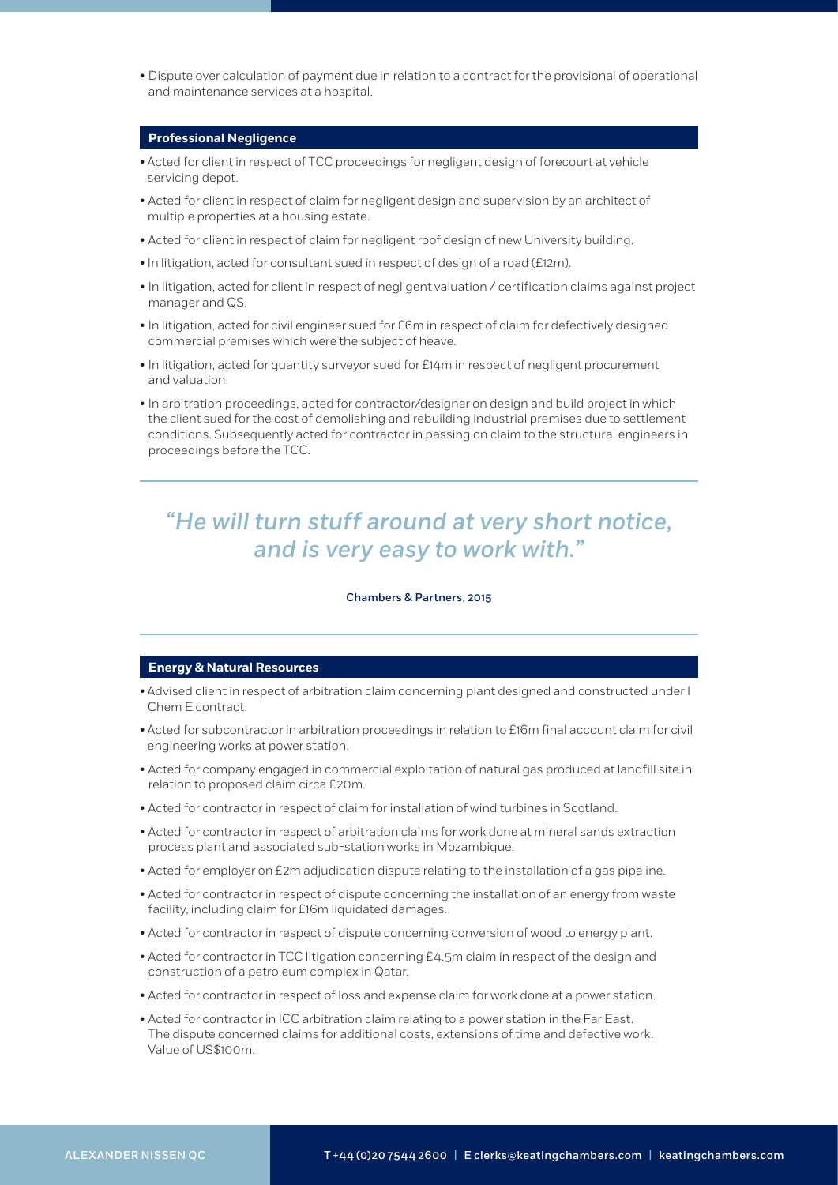• Dispute over calculation of payment due in relation to a contract for the provisional of operational and maintenance services at a hospital.

### **Professional Negligence**

- Acted for client in respect of TCC proceedings for negligent design of forecourt at vehicle servicing depot.
- Acted for client in respect of claim for negligent design and supervision by an architect of multiple properties at a housing estate.
- Acted for client in respect of claim for negligent roof design of new University building.
- In litigation, acted for consultant sued in respect of design of a road (£12m).
- In litigation, acted for client in respect of negligent valuation / certification claims against project manager and QS.
- In litigation, acted for civil engineer sued for £6m in respect of claim for defectively designed commercial premises which were the subject of heave.
- In litigation, acted for quantity surveyor sued for £14m in respect of negligent procurement and valuation.
- In arbitration proceedings, acted for contractor/designer on design and build project in which the client sued for the cost of demolishing and rebuilding industrial premises due to settlement conditions. Subsequently acted for contractor in passing on claim to the structural engineers in proceedings before the TCC.

# *"He will turn stuff around at very short notice, and is very easy to work with."*

### Chambers & Partners, 2015

### **Energy & Natural Resources**

- Advised client in respect of arbitration claim concerning plant designed and constructed under I Chem E contract.
- Acted for subcontractor in arbitration proceedings in relation to £16m final account claim for civil engineering works at power station.
- Acted for company engaged in commercial exploitation of natural gas produced at landfill site in relation to proposed claim circa £20m.
- Acted for contractor in respect of claim for installation of wind turbines in Scotland.
- Acted for contractor in respect of arbitration claims for work done at mineral sands extraction process plant and associated sub-station works in Mozambique.
- Acted for employer on £2m adjudication dispute relating to the installation of a gas pipeline.
- Acted for contractor in respect of dispute concerning the installation of an energy from waste facility, including claim for £16m liquidated damages.
- Acted for contractor in respect of dispute concerning conversion of wood to energy plant.
- Acted for contractor in TCC litigation concerning £4.5m claim in respect of the design and construction of a petroleum complex in Qatar.
- Acted for contractor in respect of loss and expense claim for work done at a power station.
- Acted for contractor in ICC arbitration claim relating to a power station in the Far East. The dispute concerned claims for additional costs, extensions of time and defective work. Value of US\$100m.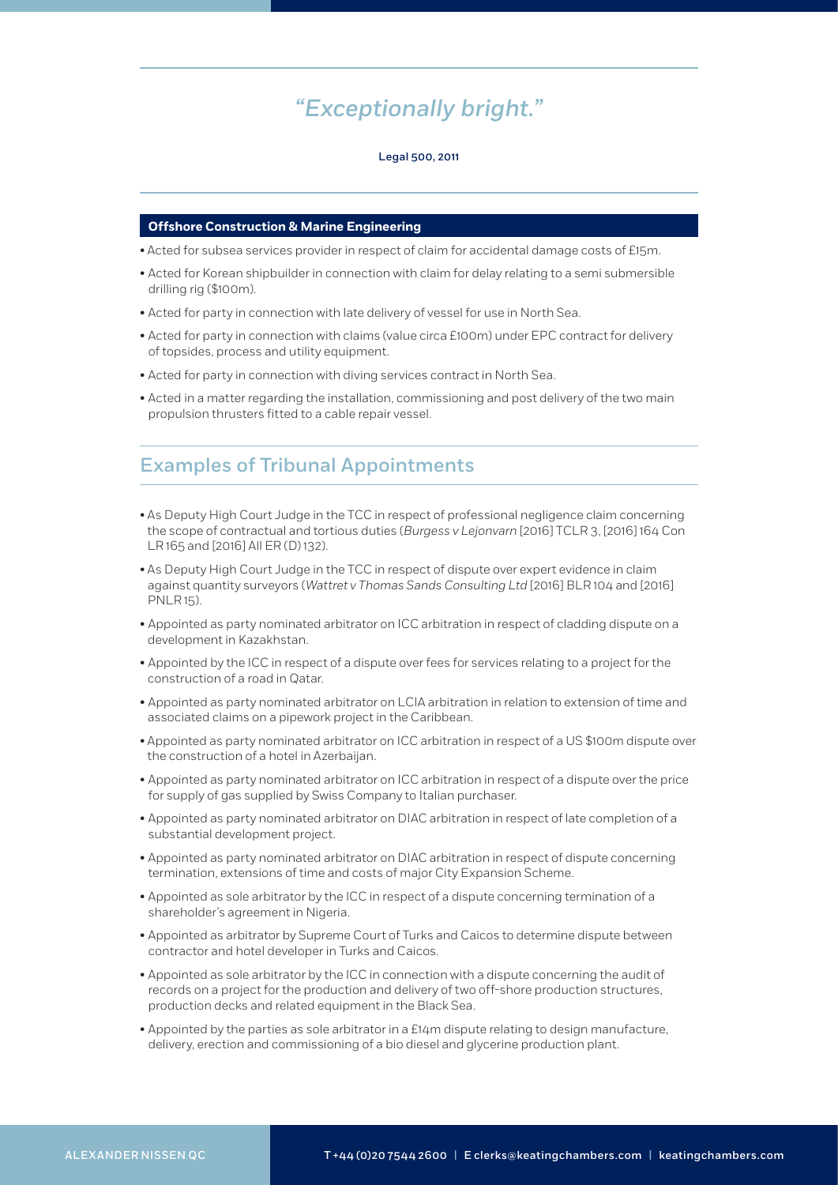# *"Exceptionally bright."*

#### Legal 500, 2011

### **Offshore Construction & Marine Engineering**

- Acted for subsea services provider in respect of claim for accidental damage costs of £15m.
- Acted for Korean shipbuilder in connection with claim for delay relating to a semi submersible drilling rig (\$100m).
- Acted for party in connection with late delivery of vessel for use in North Sea.
- Acted for party in connection with claims (value circa £100m) under EPC contract for delivery of topsides, process and utility equipment.
- Acted for party in connection with diving services contract in North Sea.
- Acted in a matter regarding the installation, commissioning and post delivery of the two main propulsion thrusters fitted to a cable repair vessel.

# Examples of Tribunal Appointments

- As Deputy High Court Judge in the TCC in respect of professional negligence claim concerning the scope of contractual and tortious duties (*Burgess v Lejonvarn* [2016] TCLR 3, [2016] 164 Con LR 165 and [2016] All ER (D) 132).
- As Deputy High Court Judge in the TCC in respect of dispute over expert evidence in claim against quantity surveyors (*Wattret v Thomas Sands Consulting Ltd* [2016] BLR 104 and [2016] PNLR 15).
- Appointed as party nominated arbitrator on ICC arbitration in respect of cladding dispute on a development in Kazakhstan.
- Appointed by the ICC in respect of a dispute over fees for services relating to a project for the construction of a road in Qatar.
- Appointed as party nominated arbitrator on LCIA arbitration in relation to extension of time and associated claims on a pipework project in the Caribbean.
- Appointed as party nominated arbitrator on ICC arbitration in respect of a US \$100m dispute over the construction of a hotel in Azerbaijan.
- Appointed as party nominated arbitrator on ICC arbitration in respect of a dispute over the price for supply of gas supplied by Swiss Company to Italian purchaser.
- Appointed as party nominated arbitrator on DIAC arbitration in respect of late completion of a substantial development project.
- Appointed as party nominated arbitrator on DIAC arbitration in respect of dispute concerning termination, extensions of time and costs of major City Expansion Scheme.
- Appointed as sole arbitrator by the ICC in respect of a dispute concerning termination of a shareholder's agreement in Nigeria.
- Appointed as arbitrator by Supreme Court of Turks and Caicos to determine dispute between contractor and hotel developer in Turks and Caicos.
- Appointed as sole arbitrator by the ICC in connection with a dispute concerning the audit of records on a project for the production and delivery of two off-shore production structures, production decks and related equipment in the Black Sea.
- Appointed by the parties as sole arbitrator in a £14m dispute relating to design manufacture, delivery, erection and commissioning of a bio diesel and glycerine production plant.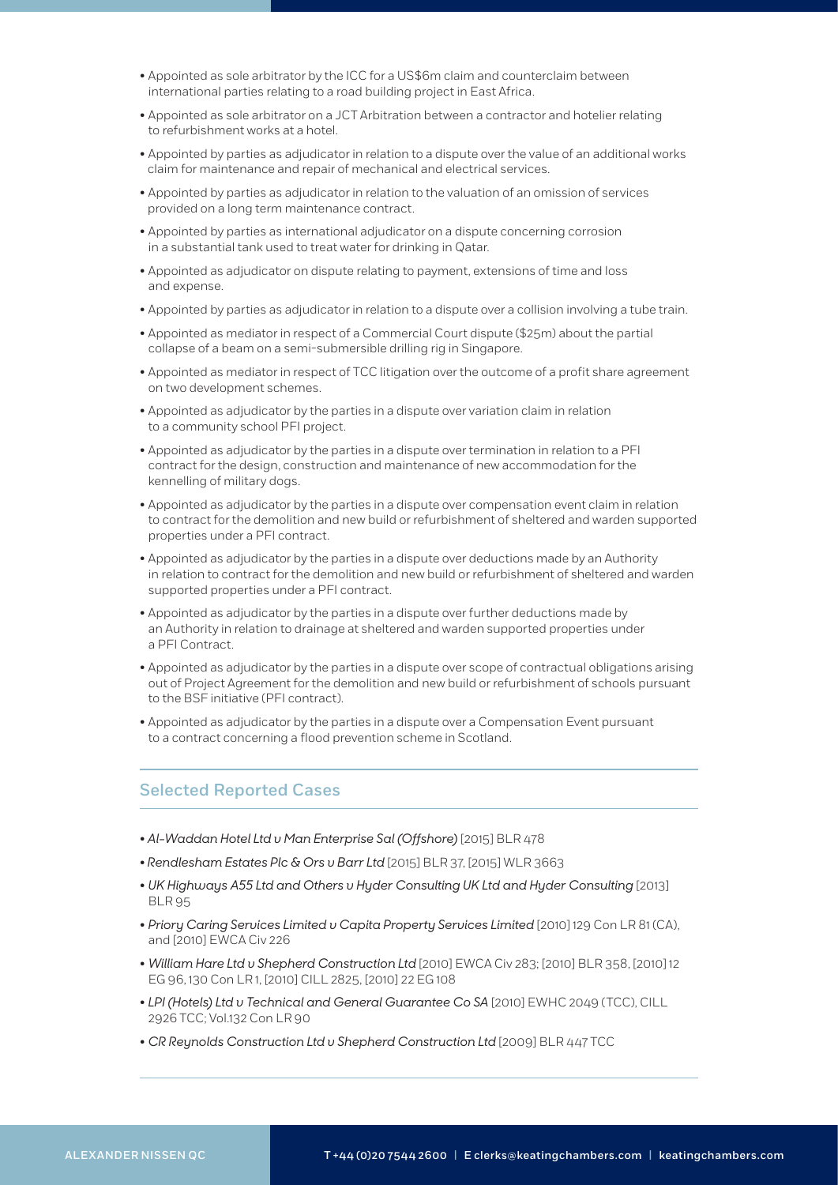- Appointed as sole arbitrator by the ICC for a US\$6m claim and counterclaim between international parties relating to a road building project in East Africa.
- Appointed as sole arbitrator on a JCT Arbitration between a contractor and hotelier relating to refurbishment works at a hotel.
- Appointed by parties as adjudicator in relation to a dispute over the value of an additional works claim for maintenance and repair of mechanical and electrical services.
- Appointed by parties as adjudicator in relation to the valuation of an omission of services provided on a long term maintenance contract.
- Appointed by parties as international adjudicator on a dispute concerning corrosion in a substantial tank used to treat water for drinking in Qatar.
- Appointed as adjudicator on dispute relating to payment, extensions of time and loss and expense.
- Appointed by parties as adjudicator in relation to a dispute over a collision involving a tube train.
- Appointed as mediator in respect of a Commercial Court dispute (\$25m) about the partial collapse of a beam on a semi-submersible drilling rig in Singapore.
- Appointed as mediator in respect of TCC litigation over the outcome of a profit share agreement on two development schemes.
- Appointed as adjudicator by the parties in a dispute over variation claim in relation to a community school PFI project.
- Appointed as adjudicator by the parties in a dispute over termination in relation to a PFI contract for the design, construction and maintenance of new accommodation for the kennelling of military dogs.
- Appointed as adjudicator by the parties in a dispute over compensation event claim in relation to contract for the demolition and new build or refurbishment of sheltered and warden supported properties under a PFI contract.
- Appointed as adjudicator by the parties in a dispute over deductions made by an Authority in relation to contract for the demolition and new build or refurbishment of sheltered and warden supported properties under a PFI contract.
- Appointed as adjudicator by the parties in a dispute over further deductions made by an Authority in relation to drainage at sheltered and warden supported properties under a PFI Contract.
- Appointed as adjudicator by the parties in a dispute over scope of contractual obligations arising out of Project Agreement for the demolition and new build or refurbishment of schools pursuant to the BSF initiative (PFI contract).
- Appointed as adjudicator by the parties in a dispute over a Compensation Event pursuant to a contract concerning a flood prevention scheme in Scotland.

### Selected Reported Cases

- *Al-Waddan Hotel Ltd v Man Enterprise Sal (Offshore)* [2015] BLR 478
- *Rendlesham Estates Plc & Ors v Barr Ltd* [2015] BLR 37, [2015] WLR 3663
- *UK Highways A55 Ltd and Others v Hyder Consulting UK Ltd and Hyder Consulting* [2013] BLR 95
- *Priory Caring Services Limited v Capita Property Services Limited* [2010] 129 Con LR 81 (CA), and [2010] EWCA Civ 226
- *William Hare Ltd v Shepherd Construction Ltd* [2010] EWCA Civ 283; [2010] BLR 358, [2010] 12 EG 96, 130 Con LR 1, [2010] CILL 2825, [2010] 22 EG 108
- *LPI (Hotels) Ltd v Technical and General Guarantee Co SA* [2010] EWHC 2049 (TCC), CILL 2926 TCC; Vol.132 Con LR 90
- *CR Reynolds Construction Ltd v Shepherd Construction Ltd* [2009] BLR 447 TCC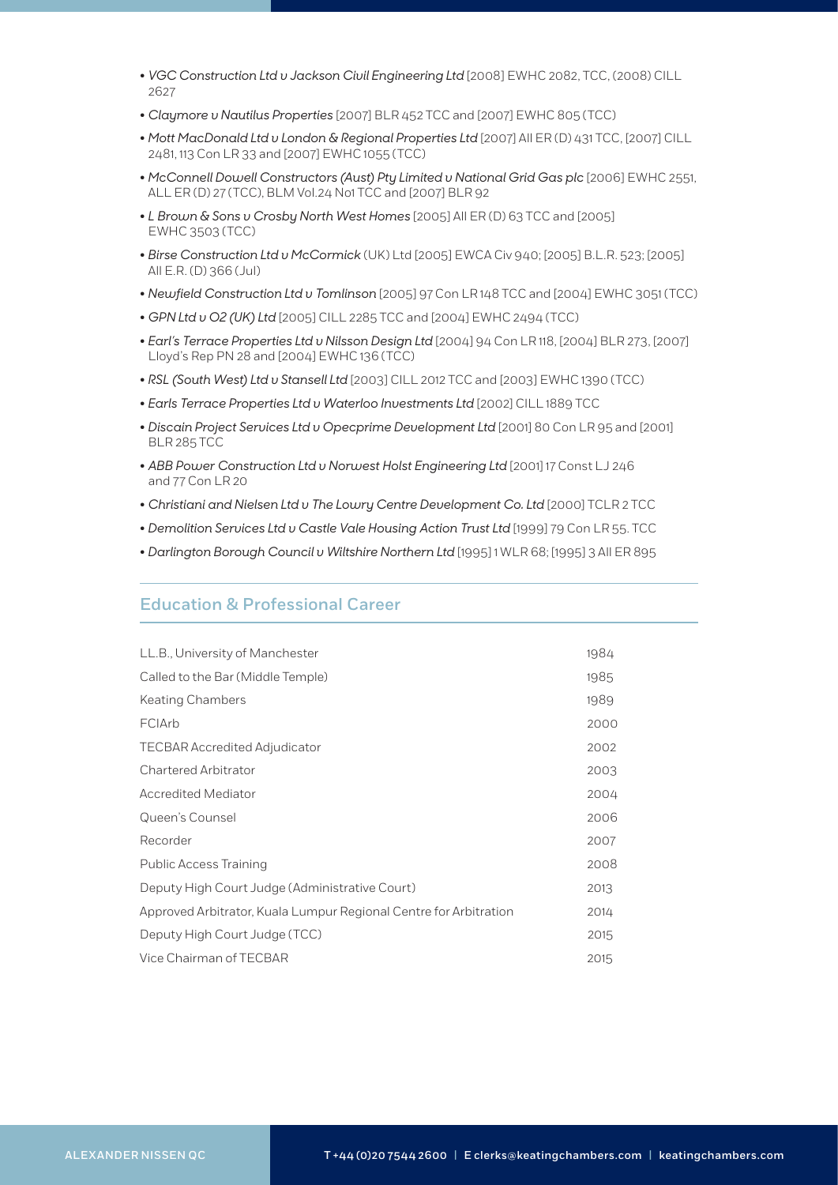- *VGC Construction Ltd v Jackson Civil Engineering Ltd* [2008] EWHC 2082, TCC, (2008) CILL 2627
- *Claymore v Nautilus Properties* [2007] BLR 452 TCC and [2007] EWHC 805 (TCC)
- *Mott MacDonald Ltd v London & Regional Properties Ltd* [2007] All ER (D) 431 TCC, [2007] CILL 2481, 113 Con LR 33 and [2007] EWHC 1055 (TCC)
- *McConnell Dowell Constructors (Aust) Pty Limited v National Grid Gas plc* [2006] EWHC 2551, ALL ER (D) 27 (TCC), BLM Vol.24 No1 TCC and [2007] BLR 92
- *L Brown & Sons v Crosby North West Homes* [2005] All ER (D) 63 TCC and [2005] EWHC 3503 (TCC)
- *Birse Construction Ltd v McCormick* (UK) Ltd [2005] EWCA Civ 940; [2005] B.L.R. 523; [2005] All E.R. (D) 366 (Jul)
- *Newfield Construction Ltd v Tomlinson* [2005] 97 Con LR 148 TCC and [2004] EWHC 3051 (TCC)
- *GPN Ltd v O2 (UK) Ltd* [2005] CILL 2285 TCC and [2004] EWHC 2494 (TCC)
- *Earl's Terrace Properties Ltd v Nilsson Design Ltd* [2004] 94 Con LR 118, [2004] BLR 273, [2007] Lloyd's Rep PN 28 and [2004] EWHC 136 (TCC)
- *RSL (South West) Ltd v Stansell Ltd* [2003] CILL 2012 TCC and [2003] EWHC 1390 (TCC)
- *Earls Terrace Properties Ltd v Waterloo Investments Ltd* [2002] CILL 1889 TCC
- *Discain Project Services Ltd v Opecprime Development Ltd* [2001] 80 Con LR 95 and [2001] BLR 285 TCC
- *ABB Power Construction Ltd v Norwest Holst Engineering Ltd* [2001] 17 Const LJ 246 and 77 Con LR 20
- *Christiani and Nielsen Ltd v The Lowry Centre Development Co. Ltd* [2000] TCLR 2 TCC
- *Demolition Services Ltd v Castle Vale Housing Action Trust Ltd* [1999] 79 Con LR 55. TCC
- *Darlington Borough Council v Wiltshire Northern Ltd* [1995] 1 WLR 68; [1995] 3 All ER 895

### Education & Professional Career

| LL.B., University of Manchester                                   | 1984 |
|-------------------------------------------------------------------|------|
| Called to the Bar (Middle Temple)                                 | 1985 |
| <b>Keating Chambers</b>                                           | 1989 |
| FCIArb                                                            | 2000 |
| <b>TECBAR Accredited Adjudicator</b>                              | 2002 |
| <b>Chartered Arbitrator</b>                                       | 2003 |
| <b>Accredited Mediator</b>                                        | 2004 |
| Queen's Counsel                                                   | 2006 |
| Recorder                                                          | 2007 |
| <b>Public Access Training</b>                                     | 2008 |
| Deputy High Court Judge (Administrative Court)                    | 2013 |
| Approved Arbitrator, Kuala Lumpur Regional Centre for Arbitration | 2014 |
| Deputy High Court Judge (TCC)                                     | 2015 |
| Vice Chairman of TECBAR                                           | 2015 |